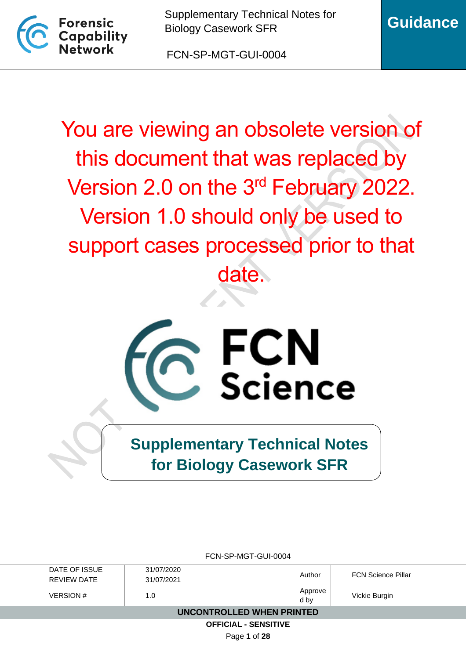

FCN-SP-MGT-GUI-0004

You are viewing an obsolete version of this document that was replaced by Version 2.0 on the 3rd February 2022. Version 1.0 should only be used to support cases processed prior to that date.



**Supplementary Technical Notes for Biology Casework SFR**

| FCN-SP-MGT-GUI-0004         |            |         |                           |  |
|-----------------------------|------------|---------|---------------------------|--|
| DATE OF ISSUE               | 31/07/2020 | Author  | <b>FCN Science Pillar</b> |  |
| REVIEW DATE                 | 31/07/2021 |         |                           |  |
| <b>VERSION#</b>             | 1.0        | Approve | Vickie Burgin             |  |
|                             |            | d by    |                           |  |
| UNCONTROLLED WHEN PRINTED   |            |         |                           |  |
| <b>OFFICIAL - SENSITIVE</b> |            |         |                           |  |
|                             |            |         |                           |  |

Page **1** of **28**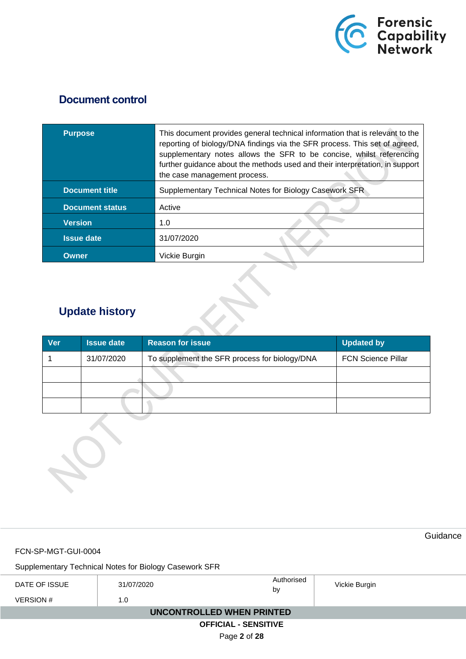

## **Document control**

| <b>Purpose</b>         | This document provides general technical information that is relevant to the<br>reporting of biology/DNA findings via the SFR process. This set of agreed,<br>supplementary notes allows the SFR to be concise, whilst referencing<br>further guidance about the methods used and their interpretation, in support<br>the case management process. |
|------------------------|----------------------------------------------------------------------------------------------------------------------------------------------------------------------------------------------------------------------------------------------------------------------------------------------------------------------------------------------------|
| <b>Document title</b>  | Supplementary Technical Notes for Biology Casework SFR                                                                                                                                                                                                                                                                                             |
| <b>Document status</b> | Active                                                                                                                                                                                                                                                                                                                                             |
| <b>Version</b>         | 1.0                                                                                                                                                                                                                                                                                                                                                |
| <b>Issue date</b>      | 31/07/2020                                                                                                                                                                                                                                                                                                                                         |
| Owner                  | Vickie Burgin                                                                                                                                                                                                                                                                                                                                      |

# **Update history**

| <b>Ver</b> | <b>Issue date</b> | <b>Reason for issue</b>                       | <b>Updated by</b>         |
|------------|-------------------|-----------------------------------------------|---------------------------|
|            | 31/07/2020        | To supplement the SFR process for biology/DNA | <b>FCN Science Pillar</b> |
|            |                   |                                               |                           |
|            |                   |                                               |                           |
|            |                   |                                               |                           |



FCN-SP-MGT-GUI-0004

Supplementary Technical Notes for Biology Casework SFR

| DATE OF ISSUE               | 31/07/2020 | Authorised<br>by | Vickie Burgin |  |  |
|-----------------------------|------------|------------------|---------------|--|--|
| <b>VERSION #</b>            | 1.0        |                  |               |  |  |
| UNCONTROLLED WHEN PRINTED   |            |                  |               |  |  |
| <b>OFFICIAL - SENSITIVE</b> |            |                  |               |  |  |

Page **2** of **28**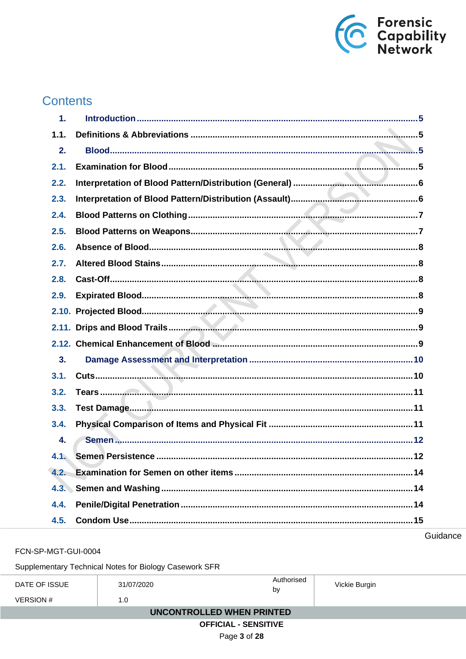

# **Contents**

| $\mathbf 1$ . |  |
|---------------|--|
| 1.1.          |  |
| 2.            |  |
| 2.1.          |  |
| 2.2.          |  |
| 2.3.          |  |
| 2.4.          |  |
| 2.5.          |  |
| 2.6.          |  |
| 2.7.          |  |
| 2.8.          |  |
| 2.9.          |  |
|               |  |
|               |  |
|               |  |
| 3.            |  |
| 3.1.          |  |
| 3.2.          |  |
| 3.3.          |  |
| 3.4.          |  |
| 4.            |  |
| 4.1.          |  |
| 4.2.          |  |
|               |  |
| 4.4.          |  |
| 4.5.          |  |

Guidance

FCN-SP-MGT-GUI-0004

Supplementary Technical Notes for Biology Casework SFR

| DATE OF ISSUE               | 31/07/2020 | Authorised<br>by | Vickie Burgin |  |  |
|-----------------------------|------------|------------------|---------------|--|--|
| <b>VERSION#</b>             | 1.0        |                  |               |  |  |
| UNCONTROLLED WHEN PRINTED   |            |                  |               |  |  |
| <b>OFFICIAL - SENSITIVE</b> |            |                  |               |  |  |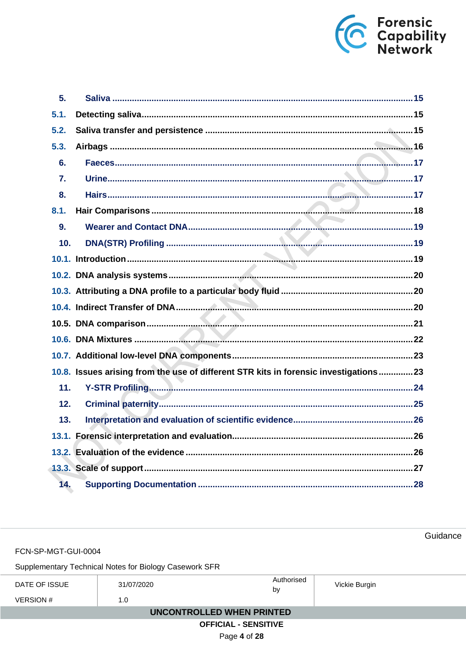

| 5.   |                                                                                      |  |
|------|--------------------------------------------------------------------------------------|--|
| 5.1. |                                                                                      |  |
| 5.2. |                                                                                      |  |
| 5.3. |                                                                                      |  |
| 6.   |                                                                                      |  |
| 7.   |                                                                                      |  |
| 8.   |                                                                                      |  |
| 8.1. |                                                                                      |  |
| 9.   |                                                                                      |  |
| 10.  |                                                                                      |  |
|      |                                                                                      |  |
|      |                                                                                      |  |
|      |                                                                                      |  |
|      |                                                                                      |  |
|      |                                                                                      |  |
|      |                                                                                      |  |
|      |                                                                                      |  |
|      | 10.8. Issues arising from the use of different STR kits in forensic investigations23 |  |
| 11.  |                                                                                      |  |
| 12.  |                                                                                      |  |
| 13.  |                                                                                      |  |
|      |                                                                                      |  |
|      |                                                                                      |  |
|      |                                                                                      |  |
| 14.  |                                                                                      |  |

FCN-SP-MGT-GUI-0004

Supplementary Technical Notes for Biology Casework SFR

| DATE OF ISSUE<br><b>VERSION #</b> | 31/07/2020<br>1.0 | Authorised<br>b٧ | Vickie Burgin |  |
|-----------------------------------|-------------------|------------------|---------------|--|
| UNCONTROLLED WHEN PRINTED         |                   |                  |               |  |
| <b>OFFICIAL - SENSITIVE</b>       |                   |                  |               |  |

Page 4 of 28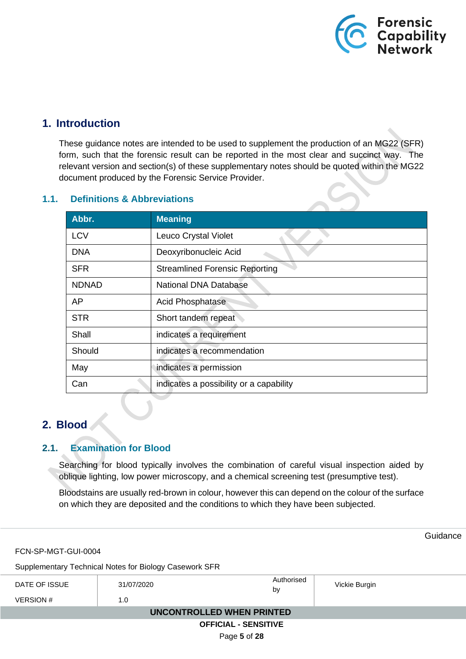

## <span id="page-4-0"></span>**1. Introduction**

These guidance notes are intended to be used to supplement the production of an MG22 (SFR) form, such that the forensic result can be reported in the most clear and succinct way. The relevant version and section(s) of these supplementary notes should be quoted within the MG22 document produced by the Forensic Service Provider.

| Abbr.        | <b>Meaning</b>                          |
|--------------|-----------------------------------------|
| <b>LCV</b>   | Leuco Crystal Violet                    |
| <b>DNA</b>   | Deoxyribonucleic Acid                   |
| <b>SFR</b>   | <b>Streamlined Forensic Reporting</b>   |
| <b>NDNAD</b> | <b>National DNA Database</b>            |
| AP           | <b>Acid Phosphatase</b>                 |
| <b>STR</b>   | Short tandem repeat                     |
| Shall        | indicates a requirement                 |
| Should       | indicates a recommendation              |
| May          | indicates a permission                  |
| Can          | indicates a possibility or a capability |

## <span id="page-4-1"></span>**1.1. Definitions & Abbreviations**

## <span id="page-4-2"></span>**2. Blood**

## <span id="page-4-3"></span>**2.1. Examination for Blood**

Searching for blood typically involves the combination of careful visual inspection aided by oblique lighting, low power microscopy, and a chemical screening test (presumptive test).

Bloodstains are usually red-brown in colour, however this can depend on the colour of the surface on which they are deposited and the conditions to which they have been subjected.

|                                  |                                                        |                  |               | Guidance |
|----------------------------------|--------------------------------------------------------|------------------|---------------|----------|
| FCN-SP-MGT-GUI-0004              |                                                        |                  |               |          |
|                                  | Supplementary Technical Notes for Biology Casework SFR |                  |               |          |
| DATE OF ISSUE                    | 31/07/2020                                             | Authorised<br>by | Vickie Burgin |          |
| <b>VERSION #</b>                 | 1.0                                                    |                  |               |          |
| <b>UNCONTROLLED WHEN PRINTED</b> |                                                        |                  |               |          |
| <b>OFFICIAL - SENSITIVE</b>      |                                                        |                  |               |          |
|                                  |                                                        | Page 5 of 28     |               |          |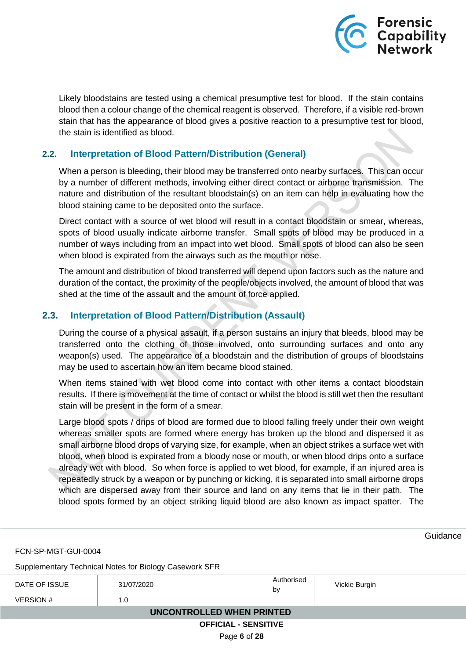

Likely bloodstains are tested using a chemical presumptive test for blood. If the stain contains blood then a colour change of the chemical reagent is observed. Therefore, if a visible red-brown stain that has the appearance of blood gives a positive reaction to a presumptive test for blood, the stain is identified as blood.

## <span id="page-5-0"></span>**2.2. Interpretation of Blood Pattern/Distribution (General)**

When a person is bleeding, their blood may be transferred onto nearby surfaces. This can occur by a number of different methods, involving either direct contact or airborne transmission. The nature and distribution of the resultant bloodstain(s) on an item can help in evaluating how the blood staining came to be deposited onto the surface.

Direct contact with a source of wet blood will result in a contact bloodstain or smear, whereas, spots of blood usually indicate airborne transfer. Small spots of blood may be produced in a number of ways including from an impact into wet blood. Small spots of blood can also be seen when blood is expirated from the airways such as the mouth or nose.

The amount and distribution of blood transferred will depend upon factors such as the nature and duration of the contact, the proximity of the people/objects involved, the amount of blood that was shed at the time of the assault and the amount of force applied.

## <span id="page-5-1"></span>**2.3. Interpretation of Blood Pattern/Distribution (Assault)**

During the course of a physical assault, if a person sustains an injury that bleeds, blood may be transferred onto the clothing of those involved, onto surrounding surfaces and onto any weapon(s) used. The appearance of a bloodstain and the distribution of groups of bloodstains may be used to ascertain how an item became blood stained.

When items stained with wet blood come into contact with other items a contact bloodstain results. If there is movement at the time of contact or whilst the blood is still wet then the resultant stain will be present in the form of a smear.

Large blood spots / drips of blood are formed due to blood falling freely under their own weight whereas smaller spots are formed where energy has broken up the blood and dispersed it as small airborne blood drops of varying size, for example, when an object strikes a surface wet with blood, when blood is expirated from a bloody nose or mouth, or when blood drips onto a surface already wet with blood. So when force is applied to wet blood, for example, if an injured area is repeatedly struck by a weapon or by punching or kicking, it is separated into small airborne drops which are dispersed away from their source and land on any items that lie in their path. The blood spots formed by an object striking liquid blood are also known as impact spatter. The

**Guidance** FCN-SP-MGT-GUI-0004 Supplementary Technical Notes for Biology Casework SFR DATE OF ISSUE 31/07/2020 **Authorised**<br>by Vickie Burgin  $VERSION #$  1.0  **UNCONTROLLED WHEN PRINTED OFFICIAL - SENSITIVE** Page **6** of **28**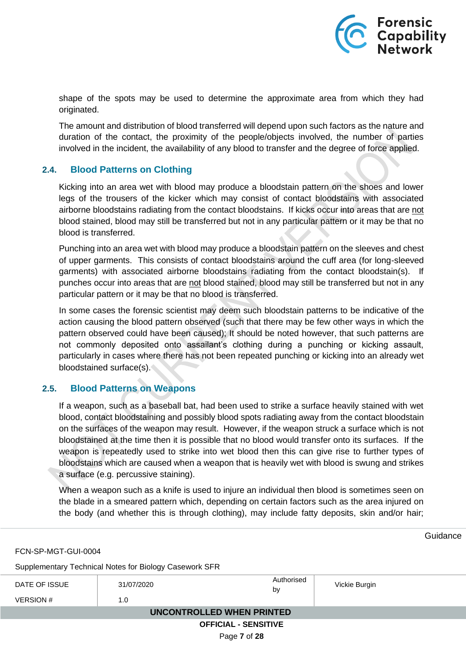

shape of the spots may be used to determine the approximate area from which they had originated.

The amount and distribution of blood transferred will depend upon such factors as the nature and duration of the contact, the proximity of the people/objects involved, the number of parties involved in the incident, the availability of any blood to transfer and the degree of force applied.

### <span id="page-6-0"></span>**2.4. Blood Patterns on Clothing**

Kicking into an area wet with blood may produce a bloodstain pattern on the shoes and lower legs of the trousers of the kicker which may consist of contact bloodstains with associated airborne bloodstains radiating from the contact bloodstains. If kicks occur into areas that are not blood stained, blood may still be transferred but not in any particular pattern or it may be that no blood is transferred.

Punching into an area wet with blood may produce a bloodstain pattern on the sleeves and chest of upper garments. This consists of contact bloodstains around the cuff area (for long-sleeved garments) with associated airborne bloodstains radiating from the contact bloodstain(s). If punches occur into areas that are not blood stained, blood may still be transferred but not in any particular pattern or it may be that no blood is transferred.

In some cases the forensic scientist may deem such bloodstain patterns to be indicative of the action causing the blood pattern observed (such that there may be few other ways in which the pattern observed could have been caused); It should be noted however, that such patterns are not commonly deposited onto assailant's clothing during a punching or kicking assault, particularly in cases where there has not been repeated punching or kicking into an already wet bloodstained surface(s).

### <span id="page-6-1"></span>**2.5. Blood Patterns on Weapons**

If a weapon, such as a baseball bat, had been used to strike a surface heavily stained with wet blood, contact bloodstaining and possibly blood spots radiating away from the contact bloodstain on the surfaces of the weapon may result. However, if the weapon struck a surface which is not bloodstained at the time then it is possible that no blood would transfer onto its surfaces. If the weapon is repeatedly used to strike into wet blood then this can give rise to further types of bloodstains which are caused when a weapon that is heavily wet with blood is swung and strikes a surface (e.g. percussive staining).

When a weapon such as a knife is used to injure an individual then blood is sometimes seen on the blade in a smeared pattern which, depending on certain factors such as the area injured on the body (and whether this is through clothing), may include fatty deposits, skin and/or hair;

FCN-SP-MGT-GUI-0004

Supplementary Technical Notes for Biology Casework SFR

| DATE OF ISSUE<br>VERSION #  | 31/07/2020<br>1.0 | Authorised<br>by | Vickie Burgin |  |  |
|-----------------------------|-------------------|------------------|---------------|--|--|
|                             |                   |                  |               |  |  |
| UNCONTROLLED WHEN PRINTED   |                   |                  |               |  |  |
| <b>OFFICIAL - SENSITIVE</b> |                   |                  |               |  |  |

Page **7** of **28**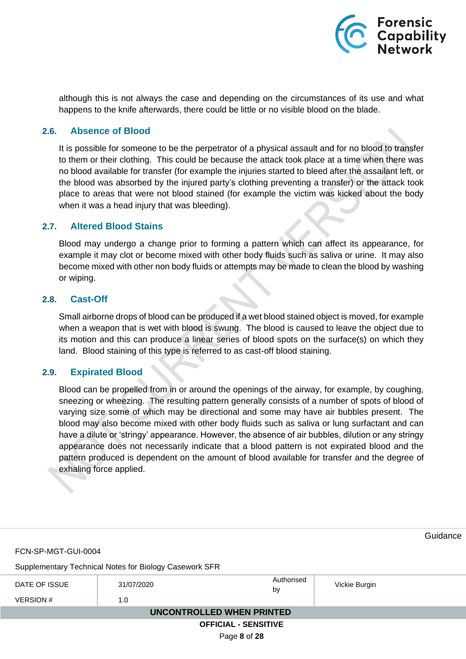Forensic<br>Capability<br>Network

although this is not always the case and depending on the circumstances of its use and what happens to the knife afterwards, there could be little or no visible blood on the blade.

## <span id="page-7-0"></span>**2.6. Absence of Blood**

It is possible for someone to be the perpetrator of a physical assault and for no blood to transfer to them or their clothing. This could be because the attack took place at a time when there was no blood available for transfer (for example the injuries started to bleed after the assailant left, or the blood was absorbed by the injured party's clothing preventing a transfer) or the attack took place to areas that were not blood stained (for example the victim was kicked about the body when it was a head injury that was bleeding).

### <span id="page-7-1"></span>**2.7. Altered Blood Stains**

Blood may undergo a change prior to forming a pattern which can affect its appearance, for example it may clot or become mixed with other body fluids such as saliva or urine. It may also become mixed with other non body fluids or attempts may be made to clean the blood by washing or wiping.

#### <span id="page-7-2"></span>**2.8. Cast-Off**

Small airborne drops of blood can be produced if a wet blood stained object is moved, for example when a weapon that is wet with blood is swung. The blood is caused to leave the object due to its motion and this can produce a linear series of blood spots on the surface(s) on which they land. Blood staining of this type is referred to as cast-off blood staining.

### <span id="page-7-3"></span>**2.9. Expirated Blood**

Blood can be propelled from in or around the openings of the airway, for example, by coughing, sneezing or wheezing. The resulting pattern generally consists of a number of spots of blood of varying size some of which may be directional and some may have air bubbles present. The blood may also become mixed with other body fluids such as saliva or lung surfactant and can have a dilute or 'stringy' appearance. However, the absence of air bubbles, dilution or any stringy appearance does not necessarily indicate that a blood pattern is not expirated blood and the pattern produced is dependent on the amount of blood available for transfer and the degree of exhaling force applied.

**Guidance** FCN-SP-MGT-GUI-0004 Supplementary Technical Notes for Biology Casework SFR DATE OF ISSUE 31/07/2020<br>by Vickie Burgin  $VERSION #$  1.0  **UNCONTROLLED WHEN PRINTED OFFICIAL - SENSITIVE** Page **8** of **28**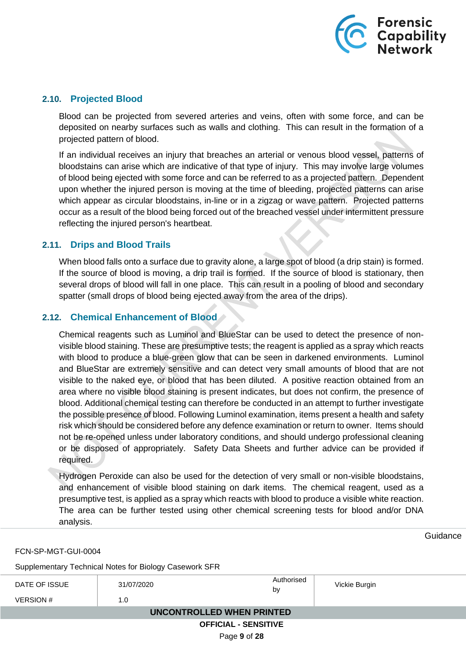

### <span id="page-8-0"></span>**2.10. Projected Blood**

Blood can be projected from severed arteries and veins, often with some force, and can be deposited on nearby surfaces such as walls and clothing. This can result in the formation of a projected pattern of blood.

If an individual receives an injury that breaches an arterial or venous blood vessel, patterns of bloodstains can arise which are indicative of that type of injury. This may involve large volumes of blood being ejected with some force and can be referred to as a projected pattern. Dependent upon whether the injured person is moving at the time of bleeding, projected patterns can arise which appear as circular bloodstains, in-line or in a zigzag or wave pattern. Projected patterns occur as a result of the blood being forced out of the breached vessel under intermittent pressure reflecting the injured person's heartbeat.

### <span id="page-8-1"></span>**2.11. Drips and Blood Trails**

When blood falls onto a surface due to gravity alone, a large spot of blood (a drip stain) is formed. If the source of blood is moving, a drip trail is formed. If the source of blood is stationary, then several drops of blood will fall in one place. This can result in a pooling of blood and secondary spatter (small drops of blood being ejected away from the area of the drips).

### <span id="page-8-2"></span>**2.12. Chemical Enhancement of Blood**

Chemical reagents such as Luminol and BlueStar can be used to detect the presence of nonvisible blood staining. These are presumptive tests; the reagent is applied as a spray which reacts with blood to produce a blue-green glow that can be seen in darkened environments. Luminol and BlueStar are extremely sensitive and can detect very small amounts of blood that are not visible to the naked eye, or blood that has been diluted. A positive reaction obtained from an area where no visible blood staining is present indicates, but does not confirm, the presence of blood. Additional chemical testing can therefore be conducted in an attempt to further investigate the possible presence of blood. Following Luminol examination, items present a health and safety risk which should be considered before any defence examination or return to owner. Items should not be re-opened unless under laboratory conditions, and should undergo professional cleaning or be disposed of appropriately. Safety Data Sheets and further advice can be provided if required.

Hydrogen Peroxide can also be used for the detection of very small or non-visible bloodstains, and enhancement of visible blood staining on dark items. The chemical reagent, used as a presumptive test, is applied as a spray which reacts with blood to produce a visible white reaction. The area can be further tested using other chemical screening tests for blood and/or DNA analysis.

FCN-SP-MGT-GUI-0004

Supplementary Technical Notes for Biology Casework SFR

| DATE OF ISSUE               | 31/07/2020 | Authorised<br>by | Vickie Burgin |  |  |
|-----------------------------|------------|------------------|---------------|--|--|
| VERSION #                   | 1.0        |                  |               |  |  |
| UNCONTROLLED WHEN PRINTED   |            |                  |               |  |  |
| <b>OFFICIAL - SENSITIVE</b> |            |                  |               |  |  |

Page **9** of **28**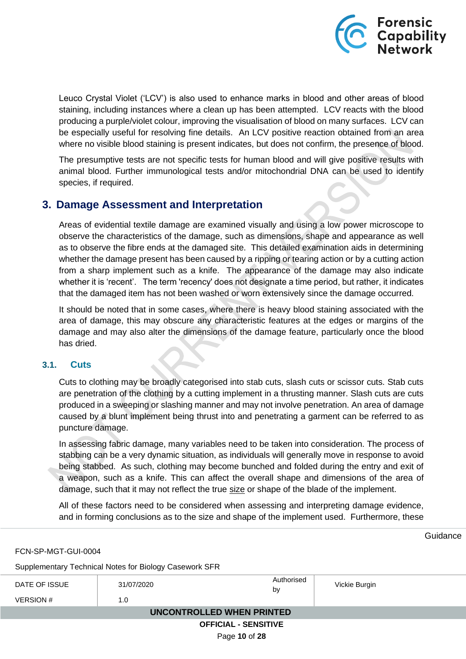

Leuco Crystal Violet ('LCV') is also used to enhance marks in blood and other areas of blood staining, including instances where a clean up has been attempted. LCV reacts with the blood producing a purple/violet colour, improving the visualisation of blood on many surfaces. LCV can be especially useful for resolving fine details. An LCV positive reaction obtained from an area where no visible blood staining is present indicates, but does not confirm, the presence of blood.

The presumptive tests are not specific tests for human blood and will give positive results with animal blood. Further immunological tests and/or mitochondrial DNA can be used to identify species, if required.

## <span id="page-9-0"></span>**3. Damage Assessment and Interpretation**

Areas of evidential textile damage are examined visually and using a low power microscope to observe the characteristics of the damage, such as dimensions, shape and appearance as well as to observe the fibre ends at the damaged site. This detailed examination aids in determining whether the damage present has been caused by a ripping or tearing action or by a cutting action from a sharp implement such as a knife. The appearance of the damage may also indicate whether it is 'recent'. The term 'recency' does not designate a time period, but rather, it indicates that the damaged item has not been washed or worn extensively since the damage occurred.

It should be noted that in some cases, where there is heavy blood staining associated with the area of damage, this may obscure any characteristic features at the edges or margins of the damage and may also alter the dimensions of the damage feature, particularly once the blood has dried.

### <span id="page-9-1"></span>**3.1. Cuts**

Cuts to clothing may be broadly categorised into stab cuts, slash cuts or scissor cuts. Stab cuts are penetration of the clothing by a cutting implement in a thrusting manner. Slash cuts are cuts produced in a sweeping or slashing manner and may not involve penetration. An area of damage caused by a blunt implement being thrust into and penetrating a garment can be referred to as puncture damage.

In assessing fabric damage, many variables need to be taken into consideration. The process of stabbing can be a very dynamic situation, as individuals will generally move in response to avoid being stabbed. As such, clothing may become bunched and folded during the entry and exit of a weapon, such as a knife. This can affect the overall shape and dimensions of the area of damage, such that it may not reflect the true size or shape of the blade of the implement.

All of these factors need to be considered when assessing and interpreting damage evidence, and in forming conclusions as to the size and shape of the implement used. Furthermore, these

Guidance

#### FCN-SP-MGT-GUI-0004

Supplementary Technical Notes for Biology Casework SFR

| DATE OF ISSUE               | 31/07/2020 | Authorised<br>by | Vickie Burgin |  |
|-----------------------------|------------|------------------|---------------|--|
| VERSION #                   | 1.0        |                  |               |  |
| UNCONTROLLED WHEN PRINTED   |            |                  |               |  |
| <b>OFFICIAL - SENSITIVE</b> |            |                  |               |  |

Page **10** of **28**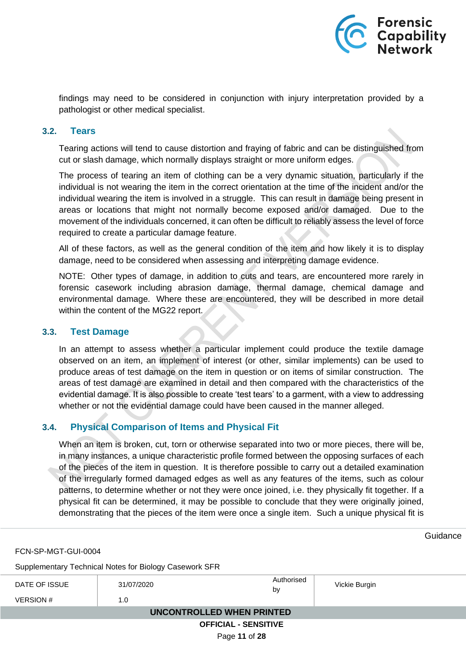

findings may need to be considered in conjunction with injury interpretation provided by a pathologist or other medical specialist.

#### <span id="page-10-0"></span>**3.2. Tears**

Tearing actions will tend to cause distortion and fraying of fabric and can be distinguished from cut or slash damage, which normally displays straight or more uniform edges.

The process of tearing an item of clothing can be a very dynamic situation, particularly if the individual is not wearing the item in the correct orientation at the time of the incident and/or the individual wearing the item is involved in a struggle. This can result in damage being present in areas or locations that might not normally become exposed and/or damaged. Due to the movement of the individuals concerned, it can often be difficult to reliably assess the level of force required to create a particular damage feature.

All of these factors, as well as the general condition of the item and how likely it is to display damage, need to be considered when assessing and interpreting damage evidence.

NOTE: Other types of damage, in addition to cuts and tears, are encountered more rarely in forensic casework including abrasion damage, thermal damage, chemical damage and environmental damage. Where these are encountered, they will be described in more detail within the content of the MG22 report.

#### <span id="page-10-1"></span>**3.3. Test Damage**

In an attempt to assess whether a particular implement could produce the textile damage observed on an item, an implement of interest (or other, similar implements) can be used to produce areas of test damage on the item in question or on items of similar construction. The areas of test damage are examined in detail and then compared with the characteristics of the evidential damage. It is also possible to create 'test tears' to a garment, with a view to addressing whether or not the evidential damage could have been caused in the manner alleged.

### <span id="page-10-2"></span>**3.4. Physical Comparison of Items and Physical Fit**

When an item is broken, cut, torn or otherwise separated into two or more pieces, there will be, in many instances, a unique characteristic profile formed between the opposing surfaces of each of the pieces of the item in question. It is therefore possible to carry out a detailed examination of the irregularly formed damaged edges as well as any features of the items, such as colour patterns, to determine whether or not they were once joined, i.e. they physically fit together. If a physical fit can be determined, it may be possible to conclude that they were originally joined, demonstrating that the pieces of the item were once a single item. Such a unique physical fit is

**Guidance** 

FCN-SP-MGT-GUI-0004

Supplementary Technical Notes for Biology Casework SFR

| DATE OF ISSUE               | 31/07/2020 | Authorised<br>by | Vickie Burgin |  |
|-----------------------------|------------|------------------|---------------|--|
| <b>VERSION #</b>            | 1.0        |                  |               |  |
| UNCONTROLLED WHEN PRINTED   |            |                  |               |  |
| <b>OFFICIAL - SENSITIVE</b> |            |                  |               |  |

Page **11** of **28**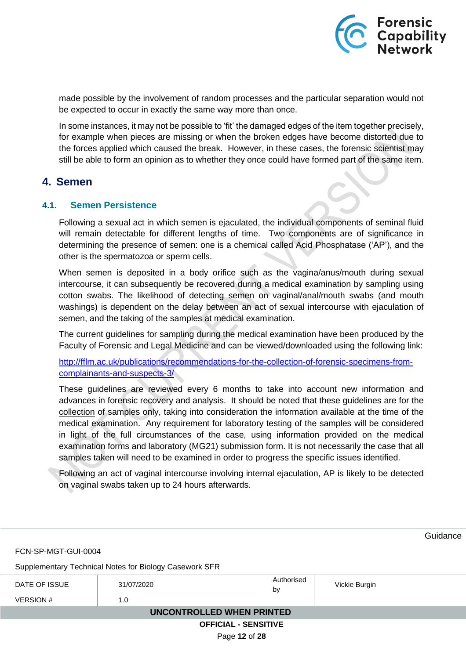

made possible by the involvement of random processes and the particular separation would not be expected to occur in exactly the same way more than once.

In some instances, it may not be possible to 'fit' the damaged edges of the item together precisely, for example when pieces are missing or when the broken edges have become distorted due to the forces applied which caused the break. However, in these cases, the forensic scientist may still be able to form an opinion as to whether they once could have formed part of the same item.

## <span id="page-11-0"></span>**4. Semen**

### <span id="page-11-1"></span>**4.1. Semen Persistence**

Following a sexual act in which semen is ejaculated, the individual components of seminal fluid will remain detectable for different lengths of time. Two components are of significance in determining the presence of semen: one is a chemical called Acid Phosphatase ('AP'), and the other is the spermatozoa or sperm cells.

When semen is deposited in a body orifice such as the vagina/anus/mouth during sexual intercourse, it can subsequently be recovered during a medical examination by sampling using cotton swabs. The likelihood of detecting semen on vaginal/anal/mouth swabs (and mouth washings) is dependent on the delay between an act of sexual intercourse with ejaculation of semen, and the taking of the samples at medical examination.

The current guidelines for sampling during the medical examination have been produced by the Faculty of Forensic and Legal Medicine and can be viewed/downloaded using the following link:

[http://fflm.ac.uk/publications/recommendations-for-the-collection-of-forensic-specimens-from](http://fflm.ac.uk/publications/recommendations-for-the-collection-of-forensic-specimens-from-complainants-and-suspects-3/)[complainants-and-suspects-3/](http://fflm.ac.uk/publications/recommendations-for-the-collection-of-forensic-specimens-from-complainants-and-suspects-3/)

These guidelines are reviewed every 6 months to take into account new information and advances in forensic recovery and analysis. It should be noted that these guidelines are for the collection of samples only, taking into consideration the information available at the time of the medical examination. Any requirement for laboratory testing of the samples will be considered in light of the full circumstances of the case, using information provided on the medical examination forms and laboratory (MG21) submission form. It is not necessarily the case that all samples taken will need to be examined in order to progress the specific issues identified.

Following an act of vaginal intercourse involving internal ejaculation, AP is likely to be detected on vaginal swabs taken up to 24 hours afterwards.

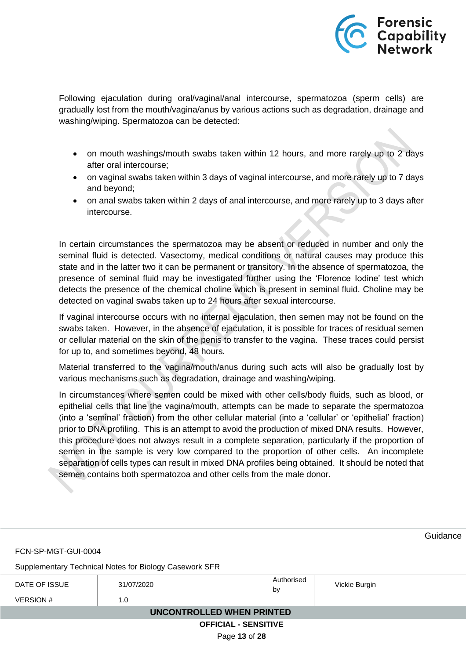

Following ejaculation during oral/vaginal/anal intercourse, spermatozoa (sperm cells) are gradually lost from the mouth/vagina/anus by various actions such as degradation, drainage and washing/wiping. Spermatozoa can be detected:

- on mouth washings/mouth swabs taken within 12 hours, and more rarely up to 2 days after oral intercourse;
- on vaginal swabs taken within 3 days of vaginal intercourse, and more rarely up to 7 days and beyond;
- on anal swabs taken within 2 days of anal intercourse, and more rarely up to 3 days after intercourse.

In certain circumstances the spermatozoa may be absent or reduced in number and only the seminal fluid is detected. Vasectomy, medical conditions or natural causes may produce this state and in the latter two it can be permanent or transitory. In the absence of spermatozoa, the presence of seminal fluid may be investigated further using the 'Florence Iodine' test which detects the presence of the chemical choline which is present in seminal fluid. Choline may be detected on vaginal swabs taken up to 24 hours after sexual intercourse.

If vaginal intercourse occurs with no internal ejaculation, then semen may not be found on the swabs taken. However, in the absence of ejaculation, it is possible for traces of residual semen or cellular material on the skin of the penis to transfer to the vagina. These traces could persist for up to, and sometimes beyond, 48 hours.

Material transferred to the vagina/mouth/anus during such acts will also be gradually lost by various mechanisms such as degradation, drainage and washing/wiping.

In circumstances where semen could be mixed with other cells/body fluids, such as blood, or epithelial cells that line the vagina/mouth, attempts can be made to separate the spermatozoa (into a 'seminal' fraction) from the other cellular material (into a 'cellular' or 'epithelial' fraction) prior to DNA profiling. This is an attempt to avoid the production of mixed DNA results. However, this procedure does not always result in a complete separation, particularly if the proportion of semen in the sample is very low compared to the proportion of other cells. An incomplete separation of cells types can result in mixed DNA profiles being obtained. It should be noted that semen contains both spermatozoa and other cells from the male donor.

|                                  |                                                        |                             |               | Guidance |
|----------------------------------|--------------------------------------------------------|-----------------------------|---------------|----------|
| FCN-SP-MGT-GUI-0004              |                                                        |                             |               |          |
|                                  | Supplementary Technical Notes for Biology Casework SFR |                             |               |          |
| DATE OF ISSUE                    | 31/07/2020                                             | Authorised<br>by            | Vickie Burgin |          |
| <b>VERSION#</b>                  | 1.0                                                    |                             |               |          |
| <b>UNCONTROLLED WHEN PRINTED</b> |                                                        |                             |               |          |
|                                  |                                                        | <b>OFFICIAL - SENSITIVE</b> |               |          |
|                                  |                                                        | Page 13 of 28               |               |          |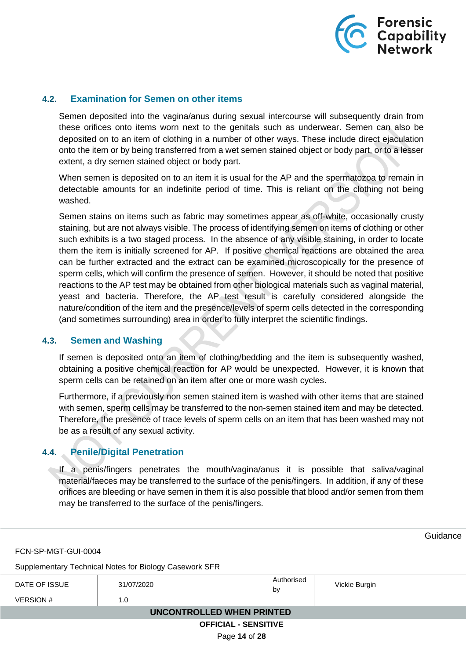

### <span id="page-13-0"></span>**4.2. Examination for Semen on other items**

Semen deposited into the vagina/anus during sexual intercourse will subsequently drain from these orifices onto items worn next to the genitals such as underwear. Semen can also be deposited on to an item of clothing in a number of other ways. These include direct ejaculation onto the item or by being transferred from a wet semen stained object or body part, or to a lesser extent, a dry semen stained object or body part.

When semen is deposited on to an item it is usual for the AP and the spermatozoa to remain in detectable amounts for an indefinite period of time. This is reliant on the clothing not being washed.

Semen stains on items such as fabric may sometimes appear as off-white, occasionally crusty staining, but are not always visible. The process of identifying semen on items of clothing or other such exhibits is a two staged process. In the absence of any visible staining, in order to locate them the item is initially screened for AP. If positive chemical reactions are obtained the area can be further extracted and the extract can be examined microscopically for the presence of sperm cells, which will confirm the presence of semen. However, it should be noted that positive reactions to the AP test may be obtained from other biological materials such as vaginal material, yeast and bacteria. Therefore, the AP test result is carefully considered alongside the nature/condition of the item and the presence/levels of sperm cells detected in the corresponding (and sometimes surrounding) area in order to fully interpret the scientific findings.

### <span id="page-13-1"></span>**4.3. Semen and Washing**

If semen is deposited onto an item of clothing/bedding and the item is subsequently washed, obtaining a positive chemical reaction for AP would be unexpected. However, it is known that sperm cells can be retained on an item after one or more wash cycles.

Furthermore, if a previously non semen stained item is washed with other items that are stained with semen, sperm cells may be transferred to the non-semen stained item and may be detected. Therefore, the presence of trace levels of sperm cells on an item that has been washed may not be as a result of any sexual activity.

## <span id="page-13-2"></span>**4.4. Penile/Digital Penetration**

If a penis/fingers penetrates the mouth/vagina/anus it is possible that saliva/vaginal material/faeces may be transferred to the surface of the penis/fingers. In addition, if any of these orifices are bleeding or have semen in them it is also possible that blood and/or semen from them may be transferred to the surface of the penis/fingers.

**Guidance** FCN-SP-MGT-GUI-0004 Supplementary Technical Notes for Biology Casework SFR DATE OF ISSUE 31/07/2020 **Authorised**<br>by Vickie Burgin  $VERSION #$  1.0  **UNCONTROLLED WHEN PRINTED OFFICIAL - SENSITIVE**

Page **14** of **28**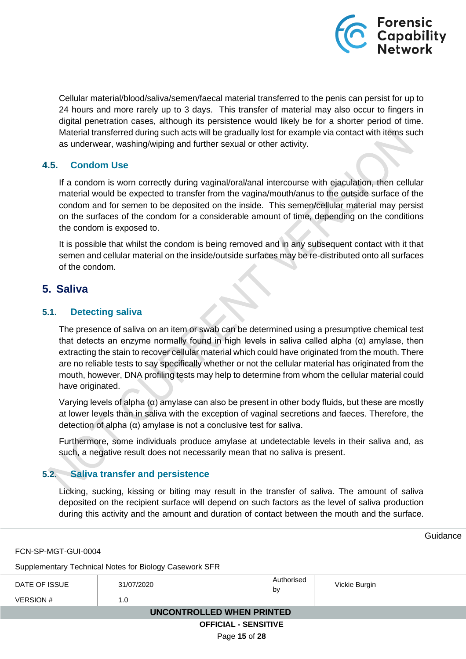

Cellular material/blood/saliva/semen/faecal material transferred to the penis can persist for up to 24 hours and more rarely up to 3 days. This transfer of material may also occur to fingers in digital penetration cases, although its persistence would likely be for a shorter period of time. Material transferred during such acts will be gradually lost for example via contact with items such as underwear, washing/wiping and further sexual or other activity.

## <span id="page-14-0"></span>**4.5. Condom Use**

If a condom is worn correctly during vaginal/oral/anal intercourse with ejaculation, then cellular material would be expected to transfer from the vagina/mouth/anus to the outside surface of the condom and for semen to be deposited on the inside. This semen/cellular material may persist on the surfaces of the condom for a considerable amount of time, depending on the conditions the condom is exposed to.

It is possible that whilst the condom is being removed and in any subsequent contact with it that semen and cellular material on the inside/outside surfaces may be re-distributed onto all surfaces of the condom.

## <span id="page-14-1"></span>**5. Saliva**

## <span id="page-14-2"></span>**5.1. Detecting saliva**

The presence of saliva on an item or swab can be determined using a presumptive chemical test that detects an enzyme normally found in high levels in saliva called alpha (α) amylase, then extracting the stain to recover cellular material which could have originated from the mouth. There are no reliable tests to say specifically whether or not the cellular material has originated from the mouth, however, DNA profiling tests may help to determine from whom the cellular material could have originated.

Varying levels of alpha (α) amylase can also be present in other body fluids, but these are mostly at lower levels than in saliva with the exception of vaginal secretions and faeces. Therefore, the detection of alpha (α) amylase is not a conclusive test for saliva.

Furthermore, some individuals produce amylase at undetectable levels in their saliva and, as such, a negative result does not necessarily mean that no saliva is present.

## <span id="page-14-3"></span>**5.2. Saliva transfer and persistence**

Licking, sucking, kissing or biting may result in the transfer of saliva. The amount of saliva deposited on the recipient surface will depend on such factors as the level of saliva production during this activity and the amount and duration of contact between the mouth and the surface.

FCN-SP-MGT-GUI-0004

Supplementary Technical Notes for Biology Casework SFR

| DATE OF ISSUE<br><b>VERSION#</b> | 31/07/2020<br>1.0 | Authorised<br>by | Vickie Burgin |  |
|----------------------------------|-------------------|------------------|---------------|--|
| UNCONTROLLED WHEN PRINTED        |                   |                  |               |  |
| <b>OFFICIAL - SENSITIVE</b>      |                   |                  |               |  |

Page **15** of **28**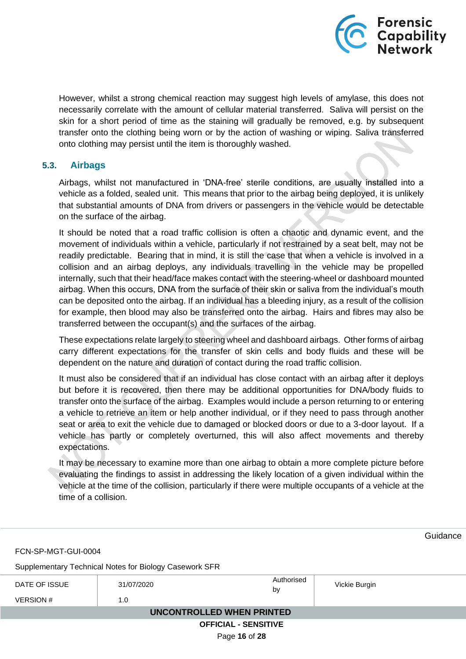

However, whilst a strong chemical reaction may suggest high levels of amylase, this does not necessarily correlate with the amount of cellular material transferred. Saliva will persist on the skin for a short period of time as the staining will gradually be removed, e.g. by subsequent transfer onto the clothing being worn or by the action of washing or wiping. Saliva transferred onto clothing may persist until the item is thoroughly washed.

### <span id="page-15-0"></span>**5.3. Airbags**

Airbags, whilst not manufactured in 'DNA-free' sterile conditions, are usually installed into a vehicle as a folded, sealed unit. This means that prior to the airbag being deployed, it is unlikely that substantial amounts of DNA from drivers or passengers in the vehicle would be detectable on the surface of the airbag.

It should be noted that a road traffic collision is often a chaotic and dynamic event, and the movement of individuals within a vehicle, particularly if not restrained by a seat belt, may not be readily predictable. Bearing that in mind, it is still the case that when a vehicle is involved in a collision and an airbag deploys, any individuals travelling in the vehicle may be propelled internally, such that their head/face makes contact with the steering-wheel or dashboard mounted airbag. When this occurs, DNA from the surface of their skin or saliva from the individual's mouth can be deposited onto the airbag. If an individual has a bleeding injury, as a result of the collision for example, then blood may also be transferred onto the airbag. Hairs and fibres may also be transferred between the occupant(s) and the surfaces of the airbag.

These expectations relate largely to steering wheel and dashboard airbags. Other forms of airbag carry different expectations for the transfer of skin cells and body fluids and these will be dependent on the nature and duration of contact during the road traffic collision.

It must also be considered that if an individual has close contact with an airbag after it deploys but before it is recovered, then there may be additional opportunities for DNA/body fluids to transfer onto the surface of the airbag. Examples would include a person returning to or entering a vehicle to retrieve an item or help another individual, or if they need to pass through another seat or area to exit the vehicle due to damaged or blocked doors or due to a 3-door layout. If a vehicle has partly or completely overturned, this will also affect movements and thereby expectations.

It may be necessary to examine more than one airbag to obtain a more complete picture before evaluating the findings to assist in addressing the likely location of a given individual within the vehicle at the time of the collision, particularly if there were multiple occupants of a vehicle at the time of a collision.

**Guidance** FCN-SP-MGT-GUI-0004 Supplementary Technical Notes for Biology Casework SFR DATE OF ISSUE 31/07/2020 **Authorised**<br>by Vickie Burgin  $VERSION #$  1.0  **UNCONTROLLED WHEN PRINTED OFFICIAL - SENSITIVE** Page **16** of **28**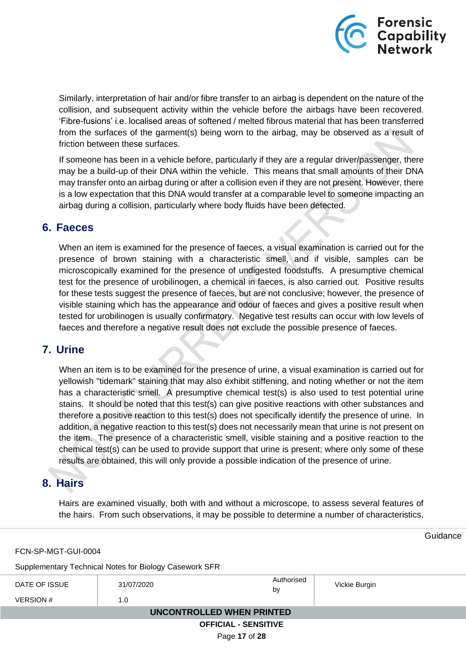

Similarly, interpretation of hair and/or fibre transfer to an airbag is dependent on the nature of the collision, and subsequent activity within the vehicle before the airbags have been recovered. 'Fibre-fusions' i.e. localised areas of softened / melted fibrous material that has been transferred from the surfaces of the garment(s) being worn to the airbag, may be observed as a result of friction between these surfaces.

If someone has been in a vehicle before, particularly if they are a regular driver/passenger, there may be a build-up of their DNA within the vehicle. This means that small amounts of their DNA may transfer onto an airbag during or after a collision even if they are not present. However, there is a low expectation that this DNA would transfer at a comparable level to someone impacting an airbag during a collision, particularly where body fluids have been detected.

## <span id="page-16-0"></span>**6. Faeces**

When an item is examined for the presence of faeces, a visual examination is carried out for the presence of brown staining with a characteristic smell, and if visible, samples can be microscopically examined for the presence of undigested foodstuffs. A presumptive chemical test for the presence of urobilinogen, a chemical in faeces, is also carried out. Positive results for these tests suggest the presence of faeces, but are not conclusive; however, the presence of visible staining which has the appearance and odour of faeces and gives a positive result when tested for urobilinogen is usually confirmatory. Negative test results can occur with low levels of faeces and therefore a negative result does not exclude the possible presence of faeces.

## <span id="page-16-1"></span>**7. Urine**

When an item is to be examined for the presence of urine, a visual examination is carried out for yellowish "tidemark" staining that may also exhibit stiffening, and noting whether or not the item has a characteristic smell. A presumptive chemical test(s) is also used to test potential urine stains. It should be noted that this test(s) can give positive reactions with other substances and therefore a positive reaction to this test(s) does not specifically identify the presence of urine. In addition, a negative reaction to this test(s) does not necessarily mean that urine is not present on the item. The presence of a characteristic smell, visible staining and a positive reaction to the chemical test(s) can be used to provide support that urine is present; where only some of these results are obtained, this will only provide a possible indication of the presence of urine.

## <span id="page-16-2"></span>**8. Hairs**

Hairs are examined visually, both with and without a microscope, to assess several features of the hairs. From such observations, it may be possible to determine a number of characteristics,

FCN-SP-MGT-GUI-0004

Supplementary Technical Notes for Biology Casework SFR

| DATE OF ISSUE               | 31/07/2020 | Authorised<br>by | Vickie Burgin |  |
|-----------------------------|------------|------------------|---------------|--|
| <b>VERSION#</b>             | 1.0        |                  |               |  |
| UNCONTROLLED WHEN PRINTED   |            |                  |               |  |
| <b>OFFICIAL - SENSITIVE</b> |            |                  |               |  |

Page **17** of **28**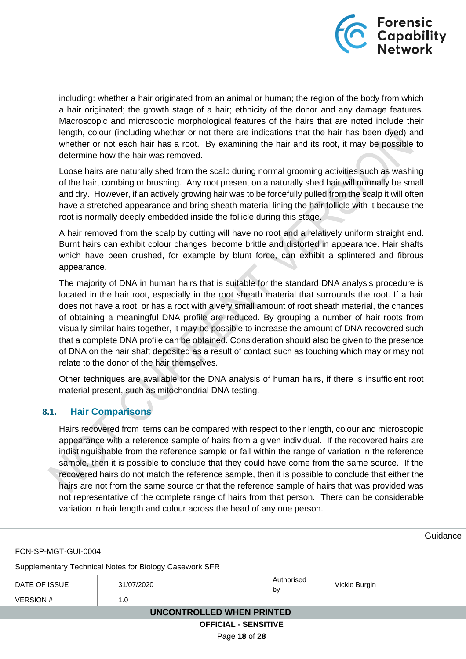

including: whether a hair originated from an animal or human; the region of the body from which a hair originated; the growth stage of a hair; ethnicity of the donor and any damage features. Macroscopic and microscopic morphological features of the hairs that are noted include their length, colour (including whether or not there are indications that the hair has been dyed) and whether or not each hair has a root. By examining the hair and its root, it may be possible to determine how the hair was removed.

Loose hairs are naturally shed from the scalp during normal grooming activities such as washing of the hair, combing or brushing. Any root present on a naturally shed hair will normally be small and dry. However, if an actively growing hair was to be forcefully pulled from the scalp it will often have a stretched appearance and bring sheath material lining the hair follicle with it because the root is normally deeply embedded inside the follicle during this stage.

A hair removed from the scalp by cutting will have no root and a relatively uniform straight end. Burnt hairs can exhibit colour changes, become brittle and distorted in appearance. Hair shafts which have been crushed, for example by blunt force, can exhibit a splintered and fibrous appearance.

The majority of DNA in human hairs that is suitable for the standard DNA analysis procedure is located in the hair root, especially in the root sheath material that surrounds the root. If a hair does not have a root, or has a root with a very small amount of root sheath material, the chances of obtaining a meaningful DNA profile are reduced. By grouping a number of hair roots from visually similar hairs together, it may be possible to increase the amount of DNA recovered such that a complete DNA profile can be obtained. Consideration should also be given to the presence of DNA on the hair shaft deposited as a result of contact such as touching which may or may not relate to the donor of the hair themselves.

Other techniques are available for the DNA analysis of human hairs, if there is insufficient root material present, such as mitochondrial DNA testing.

## <span id="page-17-0"></span>**8.1. Hair Comparisons**

Hairs recovered from items can be compared with respect to their length, colour and microscopic appearance with a reference sample of hairs from a given individual. If the recovered hairs are indistinguishable from the reference sample or fall within the range of variation in the reference sample, then it is possible to conclude that they could have come from the same source. If the recovered hairs do not match the reference sample, then it is possible to conclude that either the hairs are not from the same source or that the reference sample of hairs that was provided was not representative of the complete range of hairs from that person. There can be considerable variation in hair length and colour across the head of any one person.

FCN-SP-MGT-GUI-0004

Supplementary Technical Notes for Biology Casework SFR

| DATE OF ISSUE               | 31/07/2020 | Authorised<br>by | Vickie Burgin |  |
|-----------------------------|------------|------------------|---------------|--|
| VERSION #                   | 1.0        |                  |               |  |
| UNCONTROLLED WHEN PRINTED   |            |                  |               |  |
| <b>OFFICIAL - SENSITIVE</b> |            |                  |               |  |

Page **18** of **28**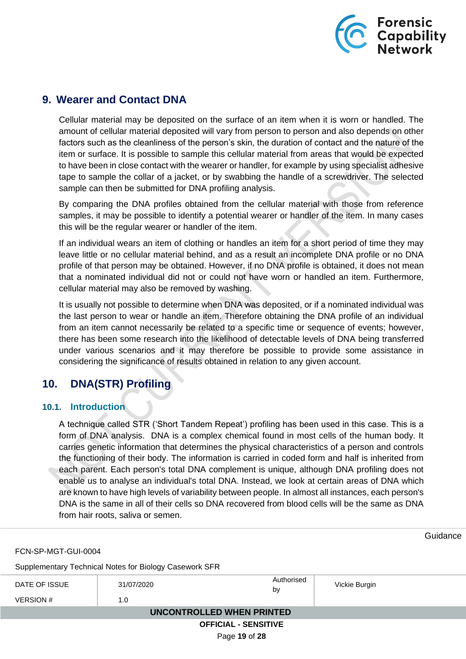

## <span id="page-18-0"></span>**9. Wearer and Contact DNA**

Cellular material may be deposited on the surface of an item when it is worn or handled. The amount of cellular material deposited will vary from person to person and also depends on other factors such as the cleanliness of the person's skin, the duration of contact and the nature of the item or surface. It is possible to sample this cellular material from areas that would be expected to have been in close contact with the wearer or handler, for example by using specialist adhesive tape to sample the collar of a jacket, or by swabbing the handle of a screwdriver. The selected sample can then be submitted for DNA profiling analysis.

By comparing the DNA profiles obtained from the cellular material with those from reference samples, it may be possible to identify a potential wearer or handler of the item. In many cases this will be the regular wearer or handler of the item.

If an individual wears an item of clothing or handles an item for a short period of time they may leave little or no cellular material behind, and as a result an incomplete DNA profile or no DNA profile of that person may be obtained. However, if no DNA profile is obtained, it does not mean that a nominated individual did not or could not have worn or handled an item. Furthermore, cellular material may also be removed by washing.

It is usually not possible to determine when DNA was deposited, or if a nominated individual was the last person to wear or handle an item. Therefore obtaining the DNA profile of an individual from an item cannot necessarily be related to a specific time or sequence of events; however, there has been some research into the likelihood of detectable levels of DNA being transferred under various scenarios and it may therefore be possible to provide some assistance in considering the significance of results obtained in relation to any given account.

## <span id="page-18-1"></span>**10. DNA(STR) Profiling**

## <span id="page-18-2"></span>**10.1. Introduction**

A technique called STR ('Short Tandem Repeat') profiling has been used in this case. This is a form of DNA analysis. DNA is a complex chemical found in most cells of the human body. It carries genetic information that determines the physical characteristics of a person and controls the functioning of their body. The information is carried in coded form and half is inherited from each parent. Each person's total DNA complement is unique, although DNA profiling does not enable us to analyse an individual's total DNA. Instead, we look at certain areas of DNA which are known to have high levels of variability between people. In almost all instances, each person's DNA is the same in all of their cells so DNA recovered from blood cells will be the same as DNA from hair roots, saliva or semen.

FCN-SP-MGT-GUI-0004

Supplementary Technical Notes for Biology Casework SFR

| DATE OF ISSUE               | 31/07/2020 | Authorised<br>by | Vickie Burgin |  |
|-----------------------------|------------|------------------|---------------|--|
| VERSION #                   | 1.0        |                  |               |  |
| UNCONTROLLED WHEN PRINTED   |            |                  |               |  |
| <b>OFFICIAL - SENSITIVE</b> |            |                  |               |  |

Page **19** of **28**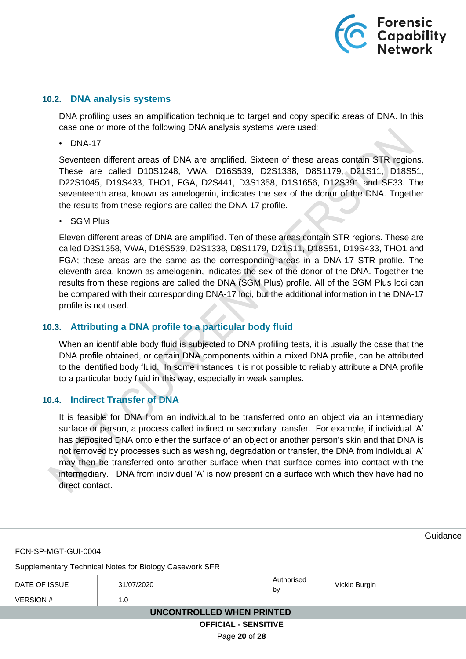

#### <span id="page-19-0"></span>**10.2. DNA analysis systems**

DNA profiling uses an amplification technique to target and copy specific areas of DNA. In this case one or more of the following DNA analysis systems were used:

• DNA-17

Seventeen different areas of DNA are amplified. Sixteen of these areas contain STR regions. These are called D10S1248, VWA, D16S539, D2S1338, D8S1179, D21S11, D18S51, D22S1045, D19S433, THO1, FGA, D2S441, D3S1358, D1S1656, D12S391 and SE33. The seventeenth area, known as amelogenin, indicates the sex of the donor of the DNA. Together the results from these regions are called the DNA-17 profile.

• SGM Plus

Eleven different areas of DNA are amplified. Ten of these areas contain STR regions. These are called D3S1358, VWA, D16S539, D2S1338, D8S1179, D21S11, D18S51, D19S433, THO1 and FGA; these areas are the same as the corresponding areas in a DNA-17 STR profile. The eleventh area, known as amelogenin, indicates the sex of the donor of the DNA. Together the results from these regions are called the DNA (SGM Plus) profile. All of the SGM Plus loci can be compared with their corresponding DNA-17 loci, but the additional information in the DNA-17 profile is not used.

### <span id="page-19-1"></span>**10.3. Attributing a DNA profile to a particular body fluid**

When an identifiable body fluid is subjected to DNA profiling tests, it is usually the case that the DNA profile obtained, or certain DNA components within a mixed DNA profile, can be attributed to the identified body fluid. In some instances it is not possible to reliably attribute a DNA profile to a particular body fluid in this way, especially in weak samples.

#### <span id="page-19-2"></span>**10.4. Indirect Transfer of DNA**

It is feasible for DNA from an individual to be transferred onto an object via an intermediary surface or person, a process called indirect or secondary transfer. For example, if individual 'A' has deposited DNA onto either the surface of an object or another person's skin and that DNA is not removed by processes such as washing, degradation or transfer, the DNA from individual 'A' may then be transferred onto another surface when that surface comes into contact with the intermediary. DNA from individual 'A' is now present on a surface with which they have had no direct contact.

|                                  |                             |                                                        | Guidance |
|----------------------------------|-----------------------------|--------------------------------------------------------|----------|
| FCN-SP-MGT-GUI-0004              |                             |                                                        |          |
|                                  |                             |                                                        |          |
| 31/07/2020                       | Authorised<br>by            | Vickie Burgin                                          |          |
| 1.0                              |                             |                                                        |          |
| <b>UNCONTROLLED WHEN PRINTED</b> |                             |                                                        |          |
|                                  | <b>OFFICIAL - SENSITIVE</b> |                                                        |          |
|                                  | Page 20 of 28               |                                                        |          |
|                                  |                             | Supplementary Technical Notes for Biology Casework SFR |          |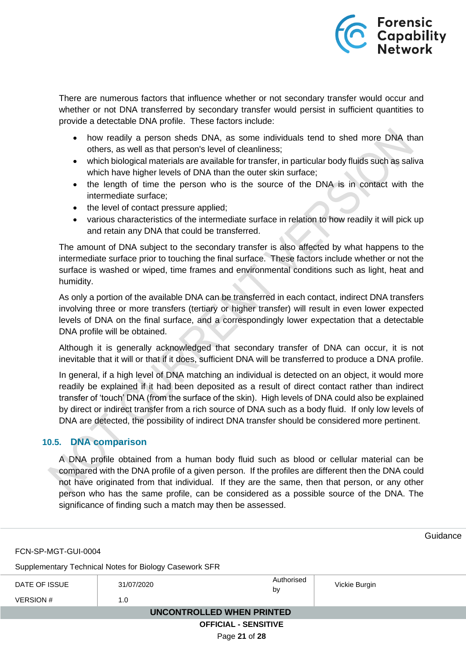

There are numerous factors that influence whether or not secondary transfer would occur and whether or not DNA transferred by secondary transfer would persist in sufficient quantities to provide a detectable DNA profile. These factors include:

- how readily a person sheds DNA, as some individuals tend to shed more DNA than others, as well as that person's level of cleanliness;
- which biological materials are available for transfer, in particular body fluids such as saliva which have higher levels of DNA than the outer skin surface;
- the length of time the person who is the source of the DNA is in contact with the intermediate surface;
- the level of contact pressure applied;
- various characteristics of the intermediate surface in relation to how readily it will pick up and retain any DNA that could be transferred.

The amount of DNA subject to the secondary transfer is also affected by what happens to the intermediate surface prior to touching the final surface. These factors include whether or not the surface is washed or wiped, time frames and environmental conditions such as light, heat and humidity.

As only a portion of the available DNA can be transferred in each contact, indirect DNA transfers involving three or more transfers (tertiary or higher transfer) will result in even lower expected levels of DNA on the final surface, and a correspondingly lower expectation that a detectable DNA profile will be obtained.

Although it is generally acknowledged that secondary transfer of DNA can occur, it is not inevitable that it will or that if it does, sufficient DNA will be transferred to produce a DNA profile.

In general, if a high level of DNA matching an individual is detected on an object, it would more readily be explained if it had been deposited as a result of direct contact rather than indirect transfer of 'touch' DNA (from the surface of the skin). High levels of DNA could also be explained by direct or indirect transfer from a rich source of DNA such as a body fluid. If only low levels of DNA are detected, the possibility of indirect DNA transfer should be considered more pertinent.

## <span id="page-20-0"></span>**10.5. DNA comparison**

A DNA profile obtained from a human body fluid such as blood or cellular material can be compared with the DNA profile of a given person. If the profiles are different then the DNA could not have originated from that individual. If they are the same, then that person, or any other person who has the same profile, can be considered as a possible source of the DNA. The significance of finding such a match may then be assessed.

**Guidance** FCN-SP-MGT-GUI-0004 Supplementary Technical Notes for Biology Casework SFR DATE OF ISSUE 31/07/2020 **Authorised**<br>by Vickie Burgin  $VERSION #$  1.0  **UNCONTROLLED WHEN PRINTED OFFICIAL - SENSITIVE** Page **21** of **28**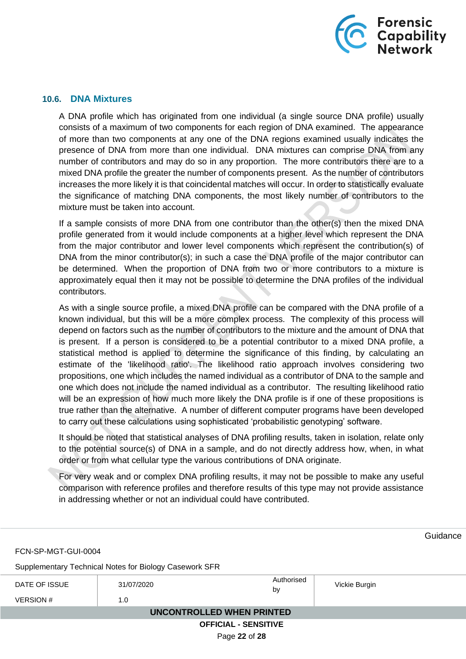

### <span id="page-21-0"></span>**10.6. DNA Mixtures**

A DNA profile which has originated from one individual (a single source DNA profile) usually consists of a maximum of two components for each region of DNA examined. The appearance of more than two components at any one of the DNA regions examined usually indicates the presence of DNA from more than one individual. DNA mixtures can comprise DNA from any number of contributors and may do so in any proportion. The more contributors there are to a mixed DNA profile the greater the number of components present. As the number of contributors increases the more likely it is that coincidental matches will occur. In order to statistically evaluate the significance of matching DNA components, the most likely number of contributors to the mixture must be taken into account.

If a sample consists of more DNA from one contributor than the other(s) then the mixed DNA profile generated from it would include components at a higher level which represent the DNA from the major contributor and lower level components which represent the contribution(s) of DNA from the minor contributor(s); in such a case the DNA profile of the major contributor can be determined. When the proportion of DNA from two or more contributors to a mixture is approximately equal then it may not be possible to determine the DNA profiles of the individual contributors.

As with a single source profile, a mixed DNA profile can be compared with the DNA profile of a known individual, but this will be a more complex process. The complexity of this process will depend on factors such as the number of contributors to the mixture and the amount of DNA that is present. If a person is considered to be a potential contributor to a mixed DNA profile, a statistical method is applied to determine the significance of this finding, by calculating an estimate of the 'likelihood ratio'. The likelihood ratio approach involves considering two propositions, one which includes the named individual as a contributor of DNA to the sample and one which does not include the named individual as a contributor. The resulting likelihood ratio will be an expression of how much more likely the DNA profile is if one of these propositions is true rather than the alternative. A number of different computer programs have been developed to carry out these calculations using sophisticated 'probabilistic genotyping' software.

It should be noted that statistical analyses of DNA profiling results, taken in isolation, relate only to the potential source(s) of DNA in a sample, and do not directly address how, when, in what order or from what cellular type the various contributions of DNA originate.

For very weak and or complex DNA profiling results, it may not be possible to make any useful comparison with reference profiles and therefore results of this type may not provide assistance in addressing whether or not an individual could have contributed.

**Guidance** FCN-SP-MGT-GUI-0004 Supplementary Technical Notes for Biology Casework SFR DATE OF ISSUE 31/07/2020 **Authorised**<br>by Vickie Burgin  $VERSION #$  1.0  **UNCONTROLLED WHEN PRINTED OFFICIAL - SENSITIVE** Page **22** of **28**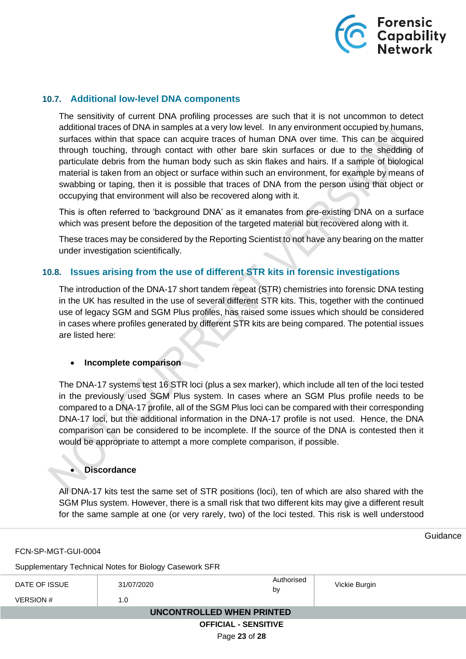

### <span id="page-22-0"></span>**10.7. Additional low-level DNA components**

The sensitivity of current DNA profiling processes are such that it is not uncommon to detect additional traces of DNA in samples at a very low level. In any environment occupied by humans, surfaces within that space can acquire traces of human DNA over time. This can be acquired through touching, through contact with other bare skin surfaces or due to the shedding of particulate debris from the human body such as skin flakes and hairs. If a sample of biological material is taken from an object or surface within such an environment, for example by means of swabbing or taping, then it is possible that traces of DNA from the person using that object or occupying that environment will also be recovered along with it.

This is often referred to 'background DNA' as it emanates from pre-existing DNA on a surface which was present before the deposition of the targeted material but recovered along with it.

These traces may be considered by the Reporting Scientist to not have any bearing on the matter under investigation scientifically.

## <span id="page-22-1"></span>**10.8. Issues arising from the use of different STR kits in forensic investigations**

The introduction of the DNA-17 short tandem repeat (STR) chemistries into forensic DNA testing in the UK has resulted in the use of several different STR kits. This, together with the continued use of legacy SGM and SGM Plus profiles, has raised some issues which should be considered in cases where profiles generated by different STR kits are being compared. The potential issues are listed here:

#### • **Incomplete comparison**

The DNA-17 systems test 16 STR loci (plus a sex marker), which include all ten of the loci tested in the previously used SGM Plus system. In cases where an SGM Plus profile needs to be compared to a DNA-17 profile, all of the SGM Plus loci can be compared with their corresponding DNA-17 loci, but the additional information in the DNA-17 profile is not used. Hence, the DNA comparison can be considered to be incomplete. If the source of the DNA is contested then it would be appropriate to attempt a more complete comparison, if possible.

#### • **Discordance**

All DNA-17 kits test the same set of STR positions (loci), ten of which are also shared with the SGM Plus system. However, there is a small risk that two different kits may give a different result for the same sample at one (or very rarely, two) of the loci tested. This risk is well understood

**Guidance** 

| FCN-SP-MGT-GUI-0004 |
|---------------------|
|---------------------|

Supplementary Technical Notes for Biology Casework SFR

| DATE OF ISSUE               | 31/07/2020 | Authorised<br>by | Vickie Burgin |  |
|-----------------------------|------------|------------------|---------------|--|
| <b>VERSION#</b>             | 1.0        |                  |               |  |
| UNCONTROLLED WHEN PRINTED   |            |                  |               |  |
| <b>OFFICIAL - SENSITIVE</b> |            |                  |               |  |

Page **23** of **28**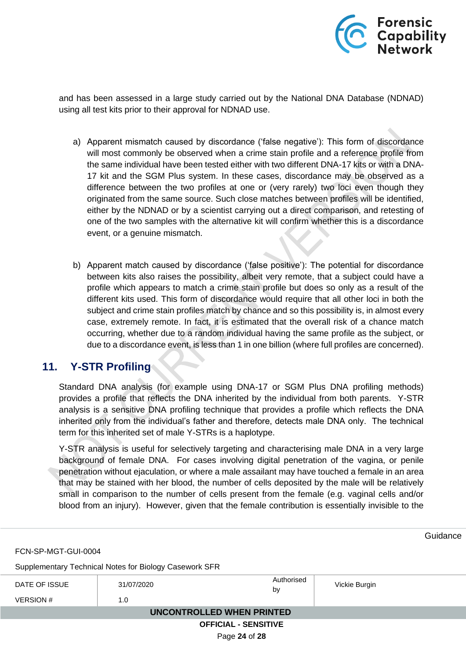

and has been assessed in a large study carried out by the National DNA Database (NDNAD) using all test kits prior to their approval for NDNAD use.

- a) Apparent mismatch caused by discordance ('false negative'): This form of discordance will most commonly be observed when a crime stain profile and a reference profile from the same individual have been tested either with two different DNA-17 kits or with a DNA-17 kit and the SGM Plus system. In these cases, discordance may be observed as a difference between the two profiles at one or (very rarely) two loci even though they originated from the same source. Such close matches between profiles will be identified, either by the NDNAD or by a scientist carrying out a direct comparison, and retesting of one of the two samples with the alternative kit will confirm whether this is a discordance event, or a genuine mismatch.
- b) Apparent match caused by discordance ('false positive'): The potential for discordance between kits also raises the possibility, albeit very remote, that a subject could have a profile which appears to match a crime stain profile but does so only as a result of the different kits used. This form of discordance would require that all other loci in both the subject and crime stain profiles match by chance and so this possibility is, in almost every case, extremely remote. In fact, it is estimated that the overall risk of a chance match occurring, whether due to a random individual having the same profile as the subject, or due to a discordance event, is less than 1 in one billion (where full profiles are concerned).

## <span id="page-23-0"></span>**11. Y-STR Profiling**

Standard DNA analysis (for example using DNA-17 or SGM Plus DNA profiling methods) provides a profile that reflects the DNA inherited by the individual from both parents. Y-STR analysis is a sensitive DNA profiling technique that provides a profile which reflects the DNA inherited only from the individual's father and therefore, detects male DNA only. The technical term for this inherited set of male Y-STRs is a haplotype.

Y-STR analysis is useful for selectively targeting and characterising male DNA in a very large background of female DNA. For cases involving digital penetration of the vagina, or penile penetration without ejaculation, or where a male assailant may have touched a female in an area that may be stained with her blood, the number of cells deposited by the male will be relatively small in comparison to the number of cells present from the female (e.g. vaginal cells and/or blood from an injury). However, given that the female contribution is essentially invisible to the

**Guidance** FCN-SP-MGT-GUI-0004 Supplementary Technical Notes for Biology Casework SFR DATE OF ISSUE 31/07/2020 **Authorised** Vickie Burgin  $VERSION #$  1.0  **UNCONTROLLED WHEN PRINTED OFFICIAL - SENSITIVE** Page **24** of **28**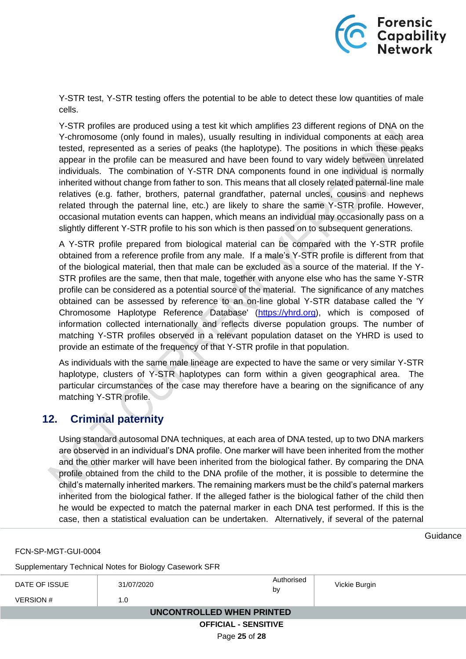

Y-STR test, Y-STR testing offers the potential to be able to detect these low quantities of male cells.

Y-STR profiles are produced using a test kit which amplifies 23 different regions of DNA on the Y-chromosome (only found in males), usually resulting in individual components at each area tested, represented as a series of peaks (the haplotype). The positions in which these peaks appear in the profile can be measured and have been found to vary widely between unrelated individuals. The combination of Y-STR DNA components found in one individual is normally inherited without change from father to son. This means that all closely related paternal-line male relatives (e.g. father, brothers, paternal grandfather, paternal uncles, cousins and nephews related through the paternal line, etc.) are likely to share the same Y-STR profile. However, occasional mutation events can happen, which means an individual may occasionally pass on a slightly different Y-STR profile to his son which is then passed on to subsequent generations.

A Y-STR profile prepared from biological material can be compared with the Y-STR profile obtained from a reference profile from any male. If a male's Y-STR profile is different from that of the biological material, then that male can be excluded as a source of the material. If the Y-STR profiles are the same, then that male, together with anyone else who has the same Y-STR profile can be considered as a potential source of the material. The significance of any matches obtained can be assessed by reference to an on-line global Y-STR database called the 'Y Chromosome Haplotype Reference Database' [\(https://yhrd.org\)](https://yhrd.org/), which is composed of information collected internationally and reflects diverse population groups. The number of matching Y-STR profiles observed in a relevant population dataset on the YHRD is used to provide an estimate of the frequency of that Y-STR profile in that population.

As individuals with the same male lineage are expected to have the same or very similar Y-STR haplotype, clusters of Y-STR haplotypes can form within a given geographical area. The particular circumstances of the case may therefore have a bearing on the significance of any matching Y-STR profile.

## <span id="page-24-0"></span>**12. Criminal paternity**

Using standard autosomal DNA techniques, at each area of DNA tested, up to two DNA markers are observed in an individual's DNA profile. One marker will have been inherited from the mother and the other marker will have been inherited from the biological father. By comparing the DNA profile obtained from the child to the DNA profile of the mother, it is possible to determine the child's maternally inherited markers. The remaining markers must be the child's paternal markers inherited from the biological father. If the alleged father is the biological father of the child then he would be expected to match the paternal marker in each DNA test performed. If this is the case, then a statistical evaluation can be undertaken. Alternatively, if several of the paternal

Guidance

FCN-SP-MGT-GUI-0004

Supplementary Technical Notes for Biology Casework SFR

| DATE OF ISSUE               | 31/07/2020 | Authorised<br>by | Vickie Burgin |  |
|-----------------------------|------------|------------------|---------------|--|
| <b>VERSION#</b>             | 1.0        |                  |               |  |
| UNCONTROLLED WHEN PRINTED   |            |                  |               |  |
| <b>OFFICIAL - SENSITIVE</b> |            |                  |               |  |

Page **25** of **28**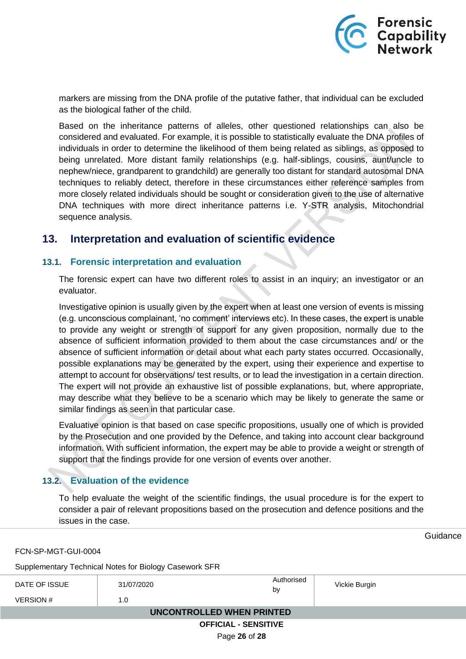

markers are missing from the DNA profile of the putative father, that individual can be excluded as the biological father of the child.

Based on the inheritance patterns of alleles, other questioned relationships can also be considered and evaluated. For example, it is possible to statistically evaluate the DNA profiles of individuals in order to determine the likelihood of them being related as siblings, as opposed to being unrelated. More distant family relationships (e.g. half-siblings, cousins, aunt/uncle to nephew/niece, grandparent to grandchild) are generally too distant for standard autosomal DNA techniques to reliably detect, therefore in these circumstances either reference samples from more closely related individuals should be sought or consideration given to the use of alternative DNA techniques with more direct inheritance patterns i.e. Y-STR analysis, Mitochondrial sequence analysis.

## <span id="page-25-0"></span>**13. Interpretation and evaluation of scientific evidence**

### <span id="page-25-1"></span>**13.1. Forensic interpretation and evaluation**

The forensic expert can have two different roles to assist in an inquiry; an investigator or an evaluator.

Investigative opinion is usually given by the expert when at least one version of events is missing (e.g. unconscious complainant, 'no comment' interviews etc). In these cases, the expert is unable to provide any weight or strength of support for any given proposition, normally due to the absence of sufficient information provided to them about the case circumstances and/ or the absence of sufficient information or detail about what each party states occurred. Occasionally, possible explanations may be generated by the expert, using their experience and expertise to attempt to account for observations/ test results, or to lead the investigation in a certain direction. The expert will not provide an exhaustive list of possible explanations, but, where appropriate, may describe what they believe to be a scenario which may be likely to generate the same or similar findings as seen in that particular case.

Evaluative opinion is that based on case specific propositions, usually one of which is provided by the Prosecution and one provided by the Defence, and taking into account clear background information. With sufficient information, the expert may be able to provide a weight or strength of support that the findings provide for one version of events over another.

### <span id="page-25-2"></span>**13.2. Evaluation of the evidence**

To help evaluate the weight of the scientific findings, the usual procedure is for the expert to consider a pair of relevant propositions based on the prosecution and defence positions and the issues in the case.

**Guidance** 

FCN-SP-MGT-GUI-0004

Supplementary Technical Notes for Biology Casework SFR

| DATE OF ISSUE               | 31/07/2020 | Authorised<br>by | Vickie Burgin |  |  |
|-----------------------------|------------|------------------|---------------|--|--|
| VERSION #                   | 1.0        |                  |               |  |  |
| UNCONTROLLED WHEN PRINTED   |            |                  |               |  |  |
| <b>OFFICIAL - SENSITIVE</b> |            |                  |               |  |  |

Page **26** of **28**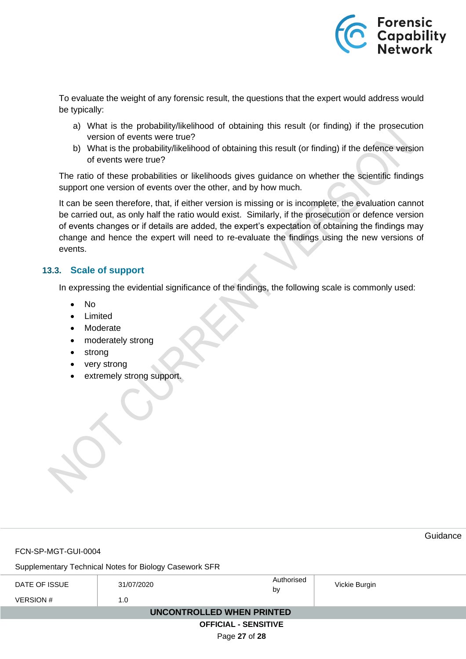

To evaluate the weight of any forensic result, the questions that the expert would address would be typically:

- a) What is the probability/likelihood of obtaining this result (or finding) if the prosecution version of events were true?
- b) What is the probability/likelihood of obtaining this result (or finding) if the defence version of events were true?

The ratio of these probabilities or likelihoods gives guidance on whether the scientific findings support one version of events over the other, and by how much.

It can be seen therefore, that, if either version is missing or is incomplete, the evaluation cannot be carried out, as only half the ratio would exist. Similarly, if the prosecution or defence version of events changes or if details are added, the expert's expectation of obtaining the findings may change and hence the expert will need to re-evaluate the findings using the new versions of events.

### <span id="page-26-0"></span>**13.3. Scale of support**

In expressing the evidential significance of the findings, the following scale is commonly used:

- No
- Limited
- Moderate
- moderately strong
- strong
- very strong
- extremely strong support.

|                                                        |            |    |            |               | Guidance |  |  |
|--------------------------------------------------------|------------|----|------------|---------------|----------|--|--|
| FCN-SP-MGT-GUI-0004                                    |            |    |            |               |          |  |  |
| Supplementary Technical Notes for Biology Casework SFR |            |    |            |               |          |  |  |
| DATE OF ISSUE                                          | 31/07/2020 | by | Authorised | Vickie Burgin |          |  |  |
| <b>VERSION#</b>                                        | 1.0        |    |            |               |          |  |  |
| UNCONTROLLED WHEN PRINTED                              |            |    |            |               |          |  |  |
| <b>OFFICIAL - SENSITIVE</b>                            |            |    |            |               |          |  |  |
| Page 27 of 28                                          |            |    |            |               |          |  |  |